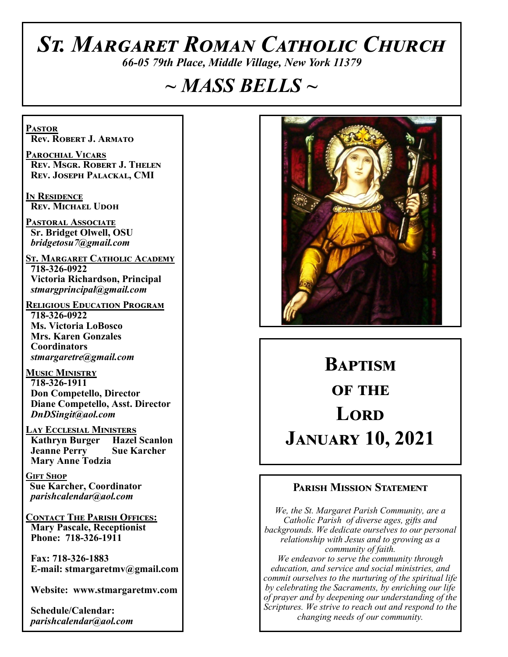# *St. Margaret Roman Catholic Church*

*66-05 79th Place, Middle Village, New York 11379*

# *~ MASS BELLS ~*

**Pastor Rev. Robert J. Armato**

**Parochial Vicars Rev. Msgr. Robert J. Thelen Rev. Joseph Palackal, CMI**

**In Residence Rev. Michael Udoh**

**Pastoral Associate Sr. Bridget Olwell, OSU**  *bridgetosu7@gmail.com*

**St. Margaret Catholic Academy 718-326-0922 Victoria Richardson, Principal**  *stmargprincipal@gmail.com*

**Religious Education Program 718-326-0922 Ms. Victoria LoBosco Mrs. Karen Gonzales Coordinators** *stmargaretre@gmail.com*

**Music Ministry 718-326-1911 Don Competello, Director Diane Competello, Asst. Director** *DnDSingit@aol.com*

**Lay Ecclesial Ministers Kathryn Burger Jeanne Perry Sue Karcher Mary Anne Todzia**

**Gift Shop Sue Karcher, Coordinator** *parishcalendar@aol.com*

**Contact The Parish Offices: Mary Pascale, Receptionist Phone: 718-326-1911** 

 **Fax: 718-326-1883 E-mail: stmargaretmv@gmail.com**

 **Website: www.stmargaretmv.com**

 **Schedule/Calendar:** *parishcalendar@aol.com* 



# **Baptism of the Lord January 10, 2021**

#### **Parish Mission Statement**

*We, the St. Margaret Parish Community, are a Catholic Parish of diverse ages, gifts and backgrounds. We dedicate ourselves to our personal relationship with Jesus and to growing as a community of faith. We endeavor to serve the community through education, and service and social ministries, and commit ourselves to the nurturing of the spiritual life by celebrating the Sacraments, by enriching our life of prayer and by deepening our understanding of the Scriptures. We strive to reach out and respond to the changing needs of our community.*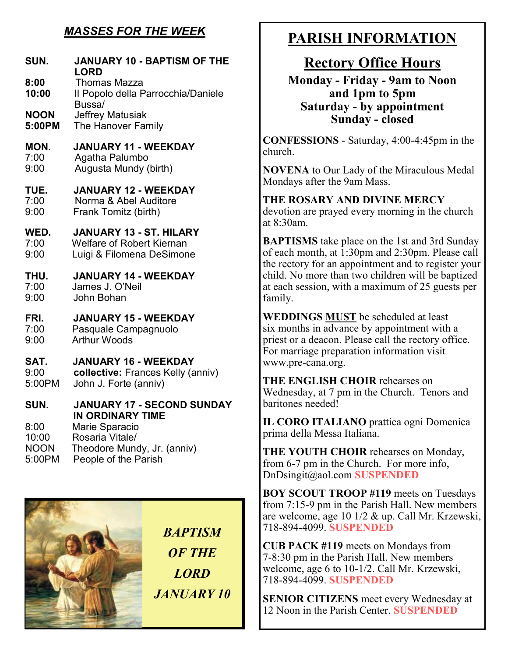# *MASSES FOR THE WEEK*

| SUN.<br>8:00<br>10:00<br><b>NOON</b> | <b>JANUARY 10 - BAPTISM OF THE</b><br><b>LORD</b><br><b>Thomas Mazza</b><br>Il Popolo della Parrocchia/Daniele<br>Bussa/<br><b>Jeffrey Matusiak</b> |
|--------------------------------------|-----------------------------------------------------------------------------------------------------------------------------------------------------|
| 5:00PM                               | The Hanover Family                                                                                                                                  |
| MON.                                 | <b>JANUARY 11 - WEEKDAY</b>                                                                                                                         |
| 7:00                                 | Agatha Palumbo                                                                                                                                      |
| 9:00                                 | Augusta Mundy (birth)                                                                                                                               |
| TUE.                                 | <b>JANUARY 12 - WEEKDAY</b>                                                                                                                         |
| 7:00                                 | Norma & Abel Auditore                                                                                                                               |
| 9:00                                 | Frank Tomitz (birth)                                                                                                                                |
| WED.                                 | <b>JANUARY 13 - ST. HILARY</b>                                                                                                                      |
| 7:00                                 | <b>Welfare of Robert Kiernan</b>                                                                                                                    |
| 9:00                                 | Luigi & Filomena DeSimone                                                                                                                           |
| THU.                                 | <b>JANUARY 14 - WEEKDAY</b>                                                                                                                         |
| 7:00                                 | James J. O'Neil                                                                                                                                     |
| 9:00                                 | John Bohan                                                                                                                                          |
| FRI.                                 | <b>JANUARY 15 - WEEKDAY</b>                                                                                                                         |
| 7:00                                 | Pasquale Campagnuolo                                                                                                                                |
| 9:00                                 | <b>Arthur Woods</b>                                                                                                                                 |
| SAT.                                 | <b>JANUARY 16 - WEEKDAY</b>                                                                                                                         |
| 9:00                                 | collective: Frances Kelly (anniv)                                                                                                                   |
| 5:00PM                               | John J. Forte (anniv)                                                                                                                               |
| SUN.                                 | <b>JANUARY 17 - SECOND SUNDAY</b>                                                                                                                   |
| 8:00<br>10:00<br><b>NOON</b>         | IN ORDINARY TIME<br>Marie Sparacio<br>Rosaria Vitale/<br>Theodore Mundy, Jr. (anniv)                                                                |

5:00PM People of the Parish



# **PARISH INFORMATION**

# **Rectory Office Hours**

**Monday - Friday - 9am to Noon and 1pm to 5pm Saturday - by appointment Sunday - closed**

**CONFESSIONS** - Saturday, 4:00-4:45pm in the church.

**NOVENA** to Our Lady of the Miraculous Medal Mondays after the 9am Mass.

**THE ROSARY AND DIVINE MERCY** devotion are prayed every morning in the church at 8:30am.

**BAPTISMS** take place on the 1st and 3rd Sunday of each month, at 1:30pm and 2:30pm. Please call the rectory for an appointment and to register your child. No more than two children will be baptized at each session, with a maximum of 25 guests per family.

**WEDDINGS MUST** be scheduled at least six months in advance by appointment with a priest or a deacon. Please call the rectory office. For marriage preparation information visit www.pre-cana.org.

**THE ENGLISH CHOIR** rehearses on Wednesday, at 7 pm in the Church. Tenors and baritones needed!

**IL CORO ITALIANO** prattica ogni Domenica prima della Messa Italiana.

**THE YOUTH CHOIR** rehearses on Monday, from 6-7 pm in the Church. For more info, DnDsingit@aol.com **SUSPENDED**

**BOY SCOUT TROOP #119** meets on Tuesdays from 7:15-9 pm in the Parish Hall. New members are welcome, age 10 1/2 & up. Call Mr. Krzewski, 718-894-4099. **SUSPENDED**

**CUB PACK #119** meets on Mondays from 7-8:30 pm in the Parish Hall. New members welcome, age 6 to 10-1/2. Call Mr. Krzewski, 718-894-4099. **SUSPENDED**

**SENIOR CITIZENS** meet every Wednesday at 12 Noon in the Parish Center. **SUSPENDED**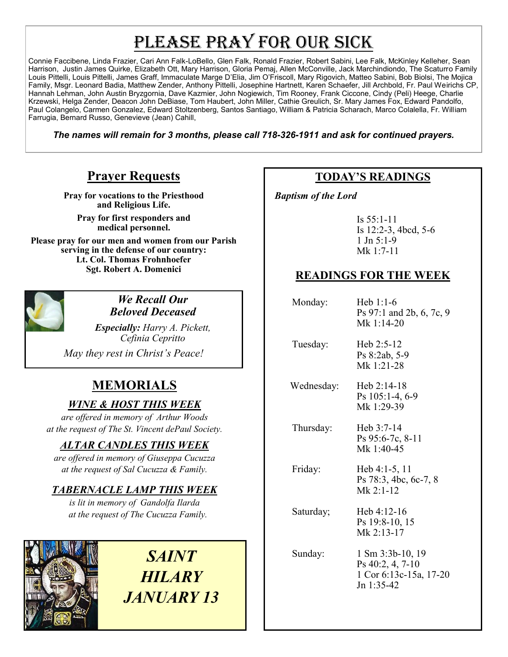# PLEASE PRAY FOR OUR SICK

Connie Faccibene, Linda Frazier, Cari Ann Falk-LoBello, Glen Falk, Ronald Frazier, Robert Sabini, Lee Falk, McKinley Kelleher, Sean Harrison, Justin James Quirke, Elizabeth Ott, Mary Harrison, Gloria Pemaj, Allen McConville, Jack Marchindiondo, The Scaturro Family Louis Pittelli, Louis Pittelli, James Graff, Immaculate Marge D'Elia, Jim O'Friscoll, Mary Rigovich, Matteo Sabini, Bob Biolsi, The Mojica Family, Msgr. Leonard Badia, Matthew Zender, Anthony Pittelli, Josephine Hartnett, Karen Schaefer, Jill Archbold, Fr. Paul Weirichs CP, Hannah Lehman, John Austin Bryzgornia, Dave Kazmier, John Nogiewich, Tim Rooney, Frank Ciccone, Cindy (Peli) Heege, Charlie Krzewski, Helga Zender, Deacon John DeBiase, Tom Haubert, John Miller, Cathie Greulich, Sr. Mary James Fox, Edward Pandolfo, Paul Colangelo, Carmen Gonzalez, Edward Stoltzenberg, Santos Santiago, William & Patricia Scharach, Marco Colalella, Fr. William Farrugia, Bernard Russo, Genevieve (Jean) Cahill,

*The names will remain for 3 months, please call 718-326-1911 and ask for continued prayers.*

# **Prayer Requests**

**Pray for vocations to the Priesthood and Religious Life.** 

**Pray for first responders and medical personnel.**

**Please pray for our men and women from our Parish serving in the defense of our country: Lt. Col. Thomas Frohnhoefer Sgt. Robert A. Domenici** 



#### *We Recall Our Beloved Deceased*

*Especially: Harry A. Pickett, Cefinia Cepritto* 

*May they rest in Christ's Peace!*

# **MEMORIALS**

#### *WINE & HOST THIS WEEK*

*are offered in memory of Arthur Woods at the request of The St. Vincent dePaul Society.* 

#### *ALTAR CANDLES THIS WEEK*

*are offered in memory of Giuseppa Cucuzza at the request of Sal Cucuzza & Family.* 

#### *TABERNACLE LAMP THIS WEEK*

*is lit in memory of Gandolfa Ilarda at the request of The Cucuzza Family.* 



*SAINT HILARY JANUARY 13*

# **TODAY'S READINGS**

 *Baptism of the Lord* 

Is 55:1-11 Is 12:2-3, 4bcd, 5-6 1 Jn 5:1-9 Mk 1:7-11

## **READINGS FOR THE WEEK**

| Monday:    | Heb $1:1-6$<br>Ps 97:1 and 2b, 6, 7c, 9<br>Mk 1:14-20   |
|------------|---------------------------------------------------------|
| Tuesday:   | Heb $2:5-12$<br>Ps 8:2ab, 5-9<br>Mk 1:21-28             |
| Wednesday: | Heb $2:14-18$<br>Ps $105:1-4, 6-9$<br>Mk 1:29-39        |
| Thursday:  | Heb $3:7-14$<br>Ps 95:6-7c, 8-11<br>Mk 1:40-45          |
| Friday:    | Heb $4:1-5, 11$<br>Ps 78:3, 4bc, 6c-7, 8<br>$Mk$ 2:1-12 |
| Saturday;  | Heb 4:12-16<br>Ps 19:8-10, 15<br>Mk 2:13-17             |
| Sunday:    | $1 \text{ Sm } 3:3b-10, 19$<br>Ps 40:2, 4, 7-10         |

1 Cor 6:13c-15a, 17-20

Jn 1:35-42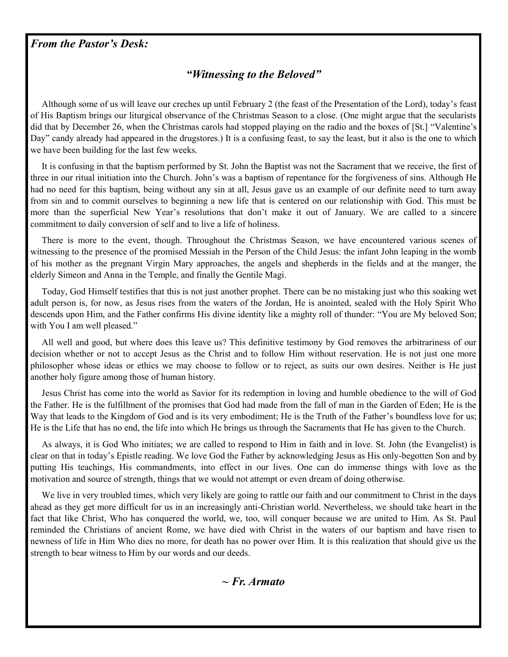#### *From the Pastor's Desk:*

#### *"Witnessing to the Beloved"*

 Although some of us will leave our creches up until February 2 (the feast of the Presentation of the Lord), today's feast of His Baptism brings our liturgical observance of the Christmas Season to a close. (One might argue that the secularists did that by December 26, when the Christmas carols had stopped playing on the radio and the boxes of [St.] "Valentine's Day" candy already had appeared in the drugstores.) It is a confusing feast, to say the least, but it also is the one to which we have been building for the last few weeks.

 It is confusing in that the baptism performed by St. John the Baptist was not the Sacrament that we receive, the first of three in our ritual initiation into the Church. John's was a baptism of repentance for the forgiveness of sins. Although He had no need for this baptism, being without any sin at all, Jesus gave us an example of our definite need to turn away from sin and to commit ourselves to beginning a new life that is centered on our relationship with God. This must be more than the superficial New Year's resolutions that don't make it out of January. We are called to a sincere commitment to daily conversion of self and to live a life of holiness.

 There is more to the event, though. Throughout the Christmas Season, we have encountered various scenes of witnessing to the presence of the promised Messiah in the Person of the Child Jesus: the infant John leaping in the womb of his mother as the pregnant Virgin Mary approaches, the angels and shepherds in the fields and at the manger, the elderly Simeon and Anna in the Temple, and finally the Gentile Magi.

 Today, God Himself testifies that this is not just another prophet. There can be no mistaking just who this soaking wet adult person is, for now, as Jesus rises from the waters of the Jordan, He is anointed, sealed with the Holy Spirit Who descends upon Him, and the Father confirms His divine identity like a mighty roll of thunder: "You are My beloved Son; with You I am well pleased."

 All well and good, but where does this leave us? This definitive testimony by God removes the arbitrariness of our decision whether or not to accept Jesus as the Christ and to follow Him without reservation. He is not just one more philosopher whose ideas or ethics we may choose to follow or to reject, as suits our own desires. Neither is He just another holy figure among those of human history.

 Jesus Christ has come into the world as Savior for its redemption in loving and humble obedience to the will of God the Father. He is the fulfillment of the promises that God had made from the fall of man in the Garden of Eden; He is the Way that leads to the Kingdom of God and is its very embodiment; He is the Truth of the Father's boundless love for us; He is the Life that has no end, the life into which He brings us through the Sacraments that He has given to the Church.

 As always, it is God Who initiates; we are called to respond to Him in faith and in love. St. John (the Evangelist) is clear on that in today's Epistle reading. We love God the Father by acknowledging Jesus as His only-begotten Son and by putting His teachings, His commandments, into effect in our lives. One can do immense things with love as the motivation and source of strength, things that we would not attempt or even dream of doing otherwise.

 We live in very troubled times, which very likely are going to rattle our faith and our commitment to Christ in the days ahead as they get more difficult for us in an increasingly anti-Christian world. Nevertheless, we should take heart in the fact that like Christ, Who has conquered the world, we, too, will conquer because we are united to Him. As St. Paul reminded the Christians of ancient Rome, we have died with Christ in the waters of our baptism and have risen to newness of life in Him Who dies no more, for death has no power over Him. It is this realization that should give us the strength to bear witness to Him by our words and our deeds.

*~ Fr. Armato*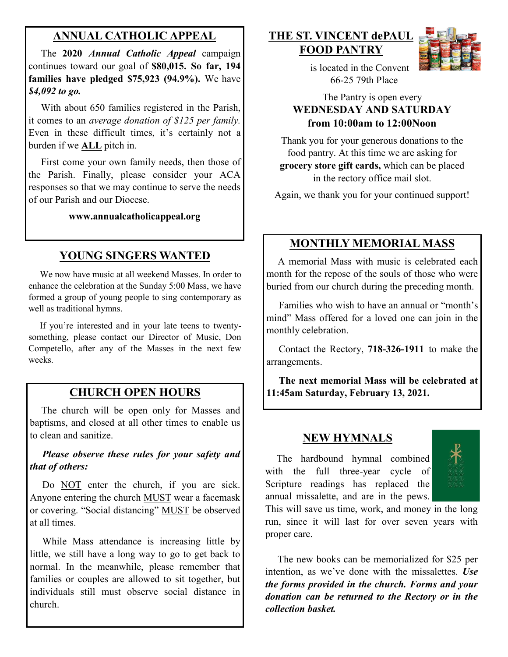### **ANNUAL CATHOLIC APPEAL**

 The **2020** *Annual Catholic Appeal* campaign continues toward our goal of **\$80,015. So far, 194 families have pledged \$75,923 (94.9%).** We have *\$4,092 to go.*

With about 650 families registered in the Parish, it comes to an *average donation of \$125 per family.*  Even in these difficult times, it's certainly not a burden if we **ALL** pitch in.

First come your own family needs, then those of the Parish. Finally, please consider your ACA responses so that we may continue to serve the needs of our Parish and our Diocese. Ì

**www.annualcatholicappeal.org** 

# **YOUNG SINGERS WANTED**

 We now have music at all weekend Masses. In order to enhance the celebration at the Sunday 5:00 Mass, we have formed a group of young people to sing contemporary as well as traditional hymns.

 If you're interested and in your late teens to twentysomething, please contact our Director of Music, Don Competello, after any of the Masses in the next few weeks.

## **CHURCH OPEN HOURS**

 The church will be open only for Masses and baptisms, and closed at all other times to enable us to clean and sanitize.

 *Please observe these rules for your safety and that of others:*

Do NOT enter the church, if you are sick. Anyone entering the church MUST wear a facemask or covering. "Social distancing" MUST be observed at all times.

 While Mass attendance is increasing little by little, we still have a long way to go to get back to normal. In the meanwhile, please remember that families or couples are allowed to sit together, but individuals still must observe social distance in church.

#### **THE ST. VINCENT dePAUL FOOD PANTRY**



 is located in the Convent 66-25 79th Place

#### The Pantry is open every **WEDNESDAY AND SATURDAY from 10:00am to 12:00Noon**

Thank you for your generous donations to the food pantry. At this time we are asking for **grocery store gift cards,** which can be placed in the rectory office mail slot.

Again, we thank you for your continued support!

# **MONTHLY MEMORIAL MASS**

 A memorial Mass with music is celebrated each month for the repose of the souls of those who were buried from our church during the preceding month.

 Families who wish to have an annual or "month's mind" Mass offered for a loved one can join in the monthly celebration.

 Contact the Rectory, **718-326-1911** to make the arrangements.

 **The next memorial Mass will be celebrated at 11:45am Saturday, February 13, 2021.** 

#### **NEW HYMNALS**

 The hardbound hymnal combined with the full three-year cycle of Scripture readings has replaced the annual missalette, and are in the pews.

This will save us time, work, and money in the long run, since it will last for over seven years with proper care.

 The new books can be memorialized for \$25 per intention, as we've done with the missalettes. *Use the forms provided in the church. Forms and your donation can be returned to the Rectory or in the collection basket.*